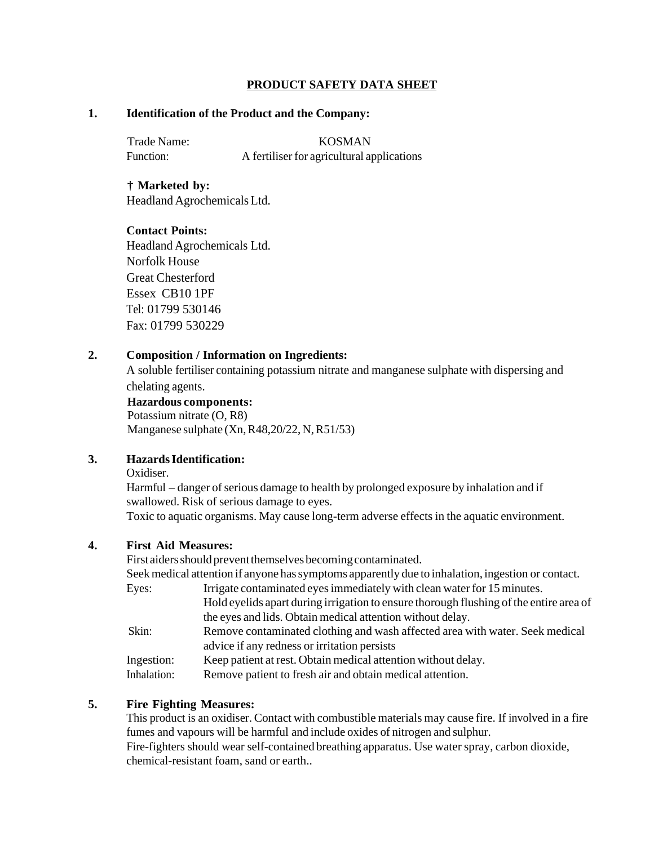## **PRODUCT SAFETY DATA SHEET**

### **1. Identification of the Product and the Company:**

Trade Name: KOSMAN Function: A fertiliser for agricultural applications

**† Marketed by:** Headland Agrochemicals Ltd.

### **Contact Points:**

Headland Agrochemicals Ltd. Norfolk House Great Chesterford Essex CB10 1PF Tel: 01799 530146 Fax: 01799 530229

### **2. Composition / Information on Ingredients:**

A soluble fertiliser containing potassium nitrate and manganese sulphate with dispersing and chelating agents.

#### **Hazardous components:**

Potassium nitrate (O, R8) Manganese sulphate (Xn, R48,20/22, N, R51/53)

### **3. Hazards Identification:**

Oxidiser.

Harmful – danger of serious damage to health by prolonged exposure by inhalation and if swallowed. Risk of serious damage to eyes.

Toxic to aquatic organisms. May cause long-term adverse effects in the aquatic environment.

## **4. First Aid Measures:**

First aiders should prevent themselves becoming contaminated.

Seek medical attention if anyone has symptoms apparently due to inhalation, ingestion or contact.

| Eyes:            | Irrigate contaminated eyes immediately with clean water for 15 minutes.                                                                                                                                                         |  |  |
|------------------|---------------------------------------------------------------------------------------------------------------------------------------------------------------------------------------------------------------------------------|--|--|
|                  | Hold eyelids apart during irrigation to ensure thorough flushing of the entire area of                                                                                                                                          |  |  |
|                  | the eyes and lids. Obtain medical attention without delay.                                                                                                                                                                      |  |  |
| $\cap$ 1 $\cdot$ | ו יו מי וי מי וי מי וי וי וי יו מי הם של היה מי הם של היה מי הם של היה מי הם של היה מי הם של היה מי הם של היה ש<br>תוכנית היה מי היה מי היה מי היה מי היה מי היה מי היה מי היה מי היה מי היה מי היה מי היה מי היה מי היה מי היה |  |  |

Skin: Remove contaminated clothing and wash affected area with water. Seek medical advice if any redness or irritation persists

Ingestion: Keep patient at rest. Obtain medical attention without delay.

Inhalation: Remove patient to fresh air and obtain medical attention.

# **5. Fire Fighting Measures:**

This product is an oxidiser. Contact with combustible materials may cause fire. If involved in a fire fumes and vapours will be harmful and include oxides of nitrogen and sulphur. Fire-fighters should wear self-contained breathing apparatus. Use water spray, carbon dioxide,

chemical-resistant foam, sand or earth..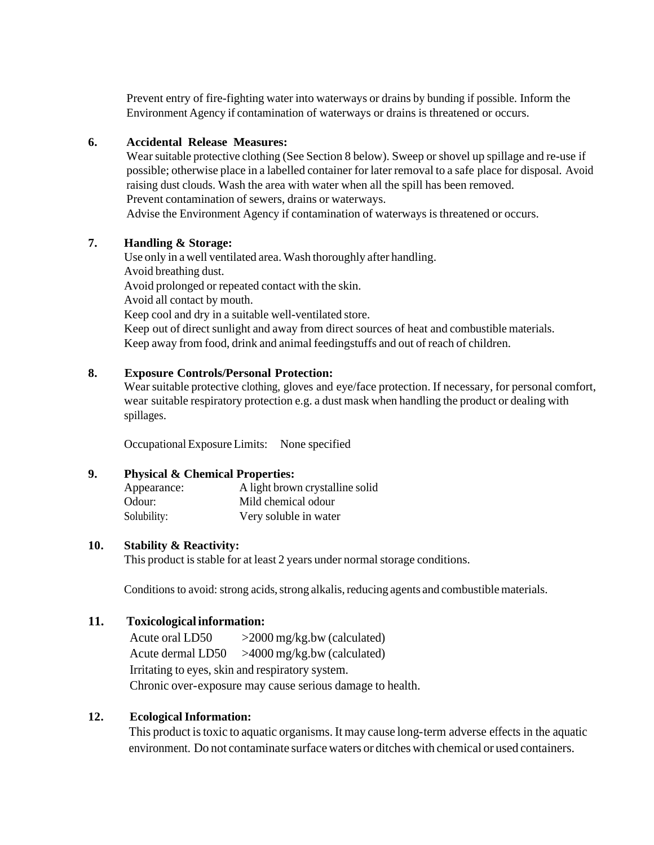Prevent entry of fire-fighting water into waterways or drains by bunding if possible. Inform the Environment Agency if contamination of waterways or drains is threatened or occurs.

### **6. Accidental Release Measures:**

Wear suitable protective clothing (See Section 8 below). Sweep or shovel up spillage and re-use if possible; otherwise place in a labelled container for later removal to a safe place for disposal. Avoid raising dust clouds. Wash the area with water when all the spill has been removed. Prevent contamination of sewers, drains or waterways. Advise the Environment Agency if contamination of waterways is threatened or occurs.

### **7. Handling & Storage:**

Use only in a well ventilated area. Wash thoroughly after handling. Avoid breathing dust. Avoid prolonged or repeated contact with the skin. Avoid all contact by mouth. Keep cool and dry in a suitable well-ventilated store. Keep out of direct sunlight and away from direct sources of heat and combustible materials. Keep away from food, drink and animal feedingstuffs and out of reach of children.

### **8. Exposure Controls/Personal Protection:**

Wear suitable protective clothing, gloves and eye/face protection. If necessary, for personal comfort, wear suitable respiratory protection e.g. a dust mask when handling the product or dealing with spillages.

Occupational Exposure Limits: None specified

### **9. Physical & Chemical Properties:**

| Appearance: | A light brown crystalline solid |
|-------------|---------------------------------|
| Odour:      | Mild chemical odour             |
| Solubility: | Very soluble in water           |

### **10. Stability & Reactivity:**

This product is stable for at least 2 years under normal storage conditions.

Conditions to avoid: strong acids, strong alkalis, reducing agents and combustible materials.

## **11. Toxicological information:**

Acute oral LD50 >2000 mg/kg.bw (calculated) Acute dermal LD50 >4000 mg/kg.bw (calculated) Irritating to eyes, skin and respiratory system. Chronic over-exposure may cause serious damage to health.

## **12. Ecological Information:**

This product is toxic to aquatic organisms. It may cause long-term adverse effects in the aquatic environment. Do not contaminate surface waters or ditches with chemical or used containers.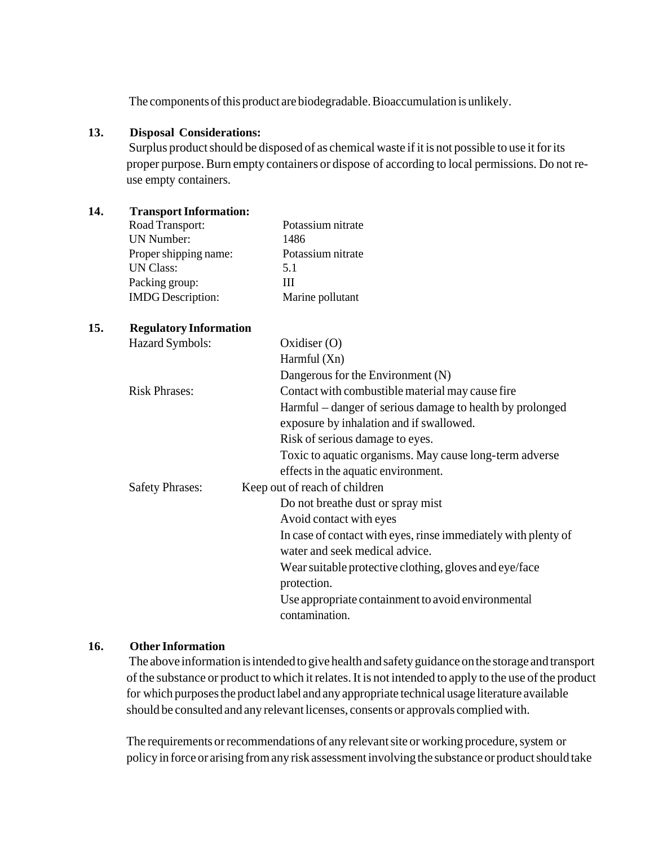The components of this product are biodegradable. Bioaccumulation is unlikely.

### **13. Disposal Considerations:**

Surplus product should be disposed of as chemical waste if it is not possible to use it for its proper purpose. Burn empty containers or dispose of according to local permissions. Do not reuse empty containers.

| 14. | <b>Transport Information:</b> |                                                                |
|-----|-------------------------------|----------------------------------------------------------------|
|     | Road Transport:               | Potassium nitrate                                              |
|     | <b>UN Number:</b>             | 1486                                                           |
|     | Proper shipping name:         | Potassium nitrate                                              |
|     | <b>UN Class:</b>              | 5.1                                                            |
|     | Packing group:                | III                                                            |
|     | <b>IMDG</b> Description:      | Marine pollutant                                               |
| 15. | <b>Regulatory Information</b> |                                                                |
|     | Hazard Symbols:               | Oxidiser $(O)$                                                 |
|     |                               | Harmful (Xn)                                                   |
|     |                               | Dangerous for the Environment (N)                              |
|     | <b>Risk Phrases:</b>          | Contact with combustible material may cause fire               |
|     |                               | Harmful – danger of serious damage to health by prolonged      |
|     |                               | exposure by inhalation and if swallowed.                       |
|     |                               | Risk of serious damage to eyes.                                |
|     |                               | Toxic to aquatic organisms. May cause long-term adverse        |
|     |                               | effects in the aquatic environment.                            |
|     | <b>Safety Phrases:</b>        | Keep out of reach of children                                  |
|     |                               | Do not breathe dust or spray mist                              |
|     |                               | Avoid contact with eyes                                        |
|     |                               | In case of contact with eyes, rinse immediately with plenty of |
|     |                               | water and seek medical advice.                                 |
|     |                               | Wear suitable protective clothing, gloves and eye/face         |
|     |                               | protection.                                                    |
|     |                               | Use appropriate containment to avoid environmental             |
|     |                               | contamination.                                                 |
|     |                               |                                                                |

## **16. Other Information**

The above information is intended to give health and safety guidance on the storage and transport of the substance or product to which it relates. It is not intended to apply to the use of the product for which purposes the product label and any appropriate technical usage literature available should be consulted and any relevant licenses, consents or approvals complied with.

The requirements or recommendations of any relevant site or working procedure, system or policy in force or arising from any risk assessment involving the substance or product should take